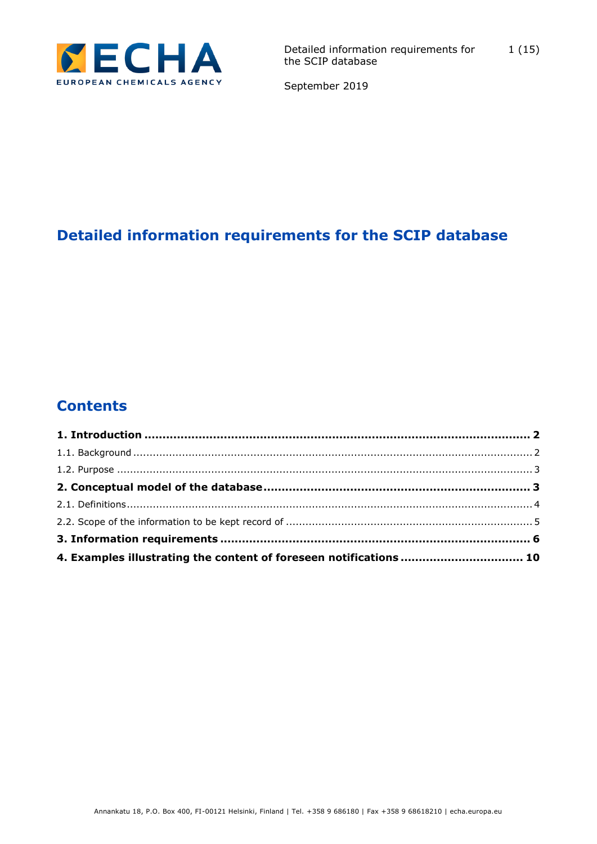

# **Detailed information requirements for the SCIP database**

# **Contents**

| 4. Examples illustrating the content of foreseen notifications  10 |  |
|--------------------------------------------------------------------|--|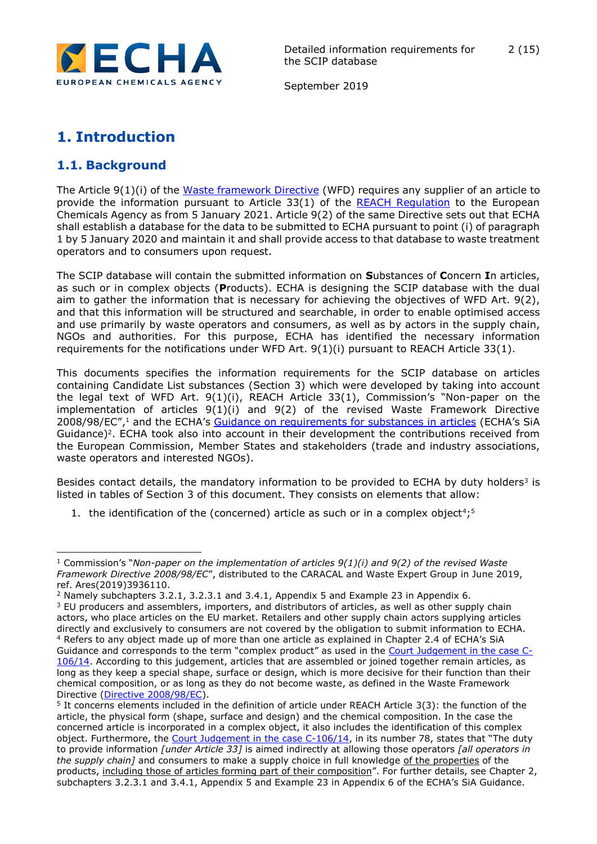

September 2019

## <span id="page-1-0"></span>**1. Introduction**

## <span id="page-1-1"></span>**1.1. Background**

-

The Article 9(1)(i) of the [Waste framework Directive](https://eur-lex.europa.eu/legal-content/EN/TXT/?uri=CELEX:02008L0098-20180705) (WFD) requires any supplier of an article to provide the information pursuant to Article 33(1) of the [REACH Regulation](https://echa.europa.eu/regulations/reach/legislation) to the European Chemicals Agency as from 5 January 2021. Article 9(2) of the same Directive sets out that ECHA shall establish a database for the data to be submitted to ECHA pursuant to point (i) of paragraph 1 by 5 January 2020 and maintain it and shall provide access to that database to waste treatment operators and to consumers upon request.

The SCIP database will contain the submitted information on **S**ubstances of **C**oncern **I**n articles, as such or in complex objects (**P**roducts). ECHA is designing the SCIP database with the dual aim to gather the information that is necessary for achieving the objectives of WFD Art. 9(2), and that this information will be structured and searchable, in order to enable optimised access and use primarily by waste operators and consumers, as well as by actors in the supply chain, NGOs and authorities. For this purpose, ECHA has identified the necessary information requirements for the notifications under WFD Art. 9(1)(i) pursuant to REACH Article 33(1).

This documents specifies the information requirements for the SCIP database on articles containing Candidate List substances (Section 3) which were developed by taking into account the legal text of WFD Art. 9(1)(i), REACH Article 33(1), Commission's "Non-paper on the implementation of articles 9(1)(i) and 9(2) of the revised Waste Framework Directive 2008/98/EC",<sup>1</sup> and the ECHA's [Guidance on requirements for substances in articles](https://echa.europa.eu/guidance-documents/guidance-on-reach) (ECHA's SiA Guidance)<sup>2</sup>. ECHA took also into account in their development the contributions received from the European Commission, Member States and stakeholders (trade and industry associations, waste operators and interested NGOs).

Besides contact details, the mandatory information to be provided to ECHA by duty holders<sup>3</sup> is listed in tables of Section 3 of this document. They consists on elements that allow:

1. the identification of the (concerned) article as such or in a complex object<sup>4</sup>;<sup>5</sup>

<sup>1</sup> Commission's "*Non-paper on the implementation of articles 9(1)(i) and 9(2) of the revised Waste Framework Directive 2008/98/EC*", distributed to the CARACAL and Waste Expert Group in June 2019, ref. Ares(2019)3936110.

<sup>2</sup> Namely subchapters 3.2.1, 3.2.3.1 and 3.4.1, Appendix 5 and Example 23 in Appendix 6.

<sup>&</sup>lt;sup>3</sup> EU producers and assemblers, importers, and distributors of articles, as well as other supply chain actors, who place articles on the EU market. Retailers and other supply chain actors supplying articles directly and exclusively to consumers are not covered by the obligation to submit information to ECHA. <sup>4</sup> Refers to any object made up of more than one article as explained in Chapter 2.4 of ECHA's SiA Guidance and corresponds to the term "complex product" as used in the [Court Judgement in the case C-](http://curia.europa.eu/juris/document/document.jsf;jsessionid=90015A41923A979232710FBB068F1591?text=&docid=167286&pageIndex=0&doclang=en&mode=lst&dir=&occ=first&part=1&cid=4419168)[106/14.](http://curia.europa.eu/juris/document/document.jsf;jsessionid=90015A41923A979232710FBB068F1591?text=&docid=167286&pageIndex=0&doclang=en&mode=lst&dir=&occ=first&part=1&cid=4419168) According to this judgement, articles that are assembled or joined together remain articles, as long as they keep a special shape, surface or design, which is more decisive for their function than their chemical composition, or as long as they do not become waste, as defined in the Waste Framework Directive [\(Directive 2008/98/EC\)](https://eur-lex.europa.eu/legal-content/EN/TXT/?uri=CELEX:02008L0098-20180705).

<sup>5</sup> It concerns elements included in the definition of article under REACH Article 3(3): the function of the article, the physical form (shape, surface and design) and the chemical composition. In the case the concerned article is incorporated in a complex object, it also includes the identification of this complex object. Furthermore, the [Court Judgement in the case C-106/14](http://curia.europa.eu/juris/document/document.jsf;jsessionid=90015A41923A979232710FBB068F1591?text=&docid=167286&pageIndex=0&doclang=en&mode=lst&dir=&occ=first&part=1&cid=4419168), in its number 78, states that "The duty to provide information *[under Article 33]* is aimed indirectly at allowing those operators *[all operators in the supply chain]* and consumers to make a supply choice in full knowledge of the properties of the products, including those of articles forming part of their composition". For further details, see Chapter 2, subchapters 3.2.3.1 and 3.4.1, Appendix 5 and Example 23 in Appendix 6 of the ECHA's SiA Guidance.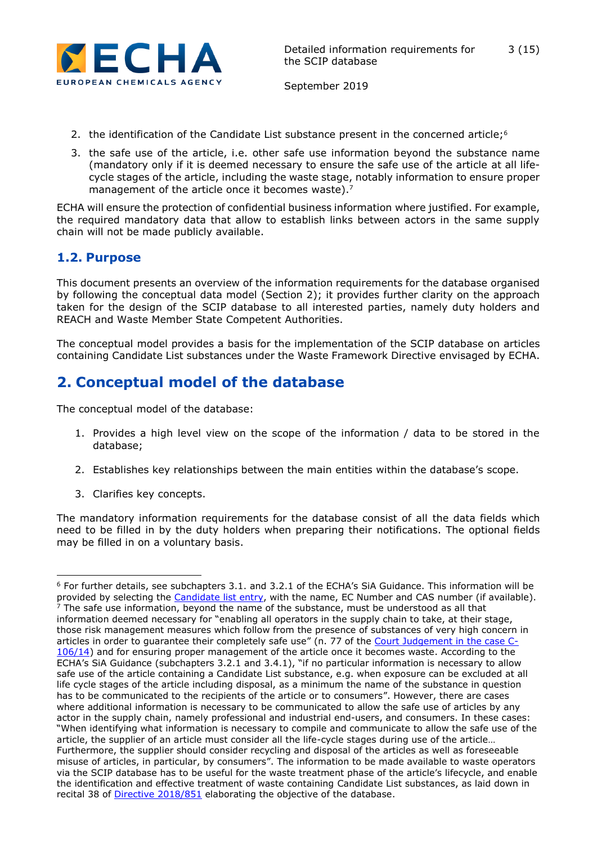

- 2. the identification of the Candidate List substance present in the concerned article;<sup>6</sup>
- 3. the safe use of the article, i.e. other safe use information beyond the substance name (mandatory only if it is deemed necessary to ensure the safe use of the article at all lifecycle stages of the article, including the waste stage, notably information to ensure proper management of the article once it becomes waste).<sup>7</sup>

ECHA will ensure the protection of confidential business information where justified. For example, the required mandatory data that allow to establish links between actors in the same supply chain will not be made publicly available.

#### <span id="page-2-0"></span>**1.2. Purpose**

This document presents an overview of the information requirements for the database organised by following the conceptual data model (Section 2); it provides further clarity on the approach taken for the design of the SCIP database to all interested parties, namely duty holders and REACH and Waste Member State Competent Authorities.

The conceptual model provides a basis for the implementation of the SCIP database on articles containing Candidate List substances under the Waste Framework Directive envisaged by ECHA.

# <span id="page-2-1"></span>**2. Conceptual model of the database**

The conceptual model of the database:

- 1. Provides a high level view on the scope of the information / data to be stored in the database;
- 2. Establishes key relationships between the main entities within the database's scope.
- 3. Clarifies key concepts.

-

The mandatory information requirements for the database consist of all the data fields which need to be filled in by the duty holders when preparing their notifications. The optional fields may be filled in on a voluntary basis.

<sup>6</sup> For further details, see subchapters 3.1. and 3.2.1 of the ECHA's SiA Guidance. This information will be provided by selecting the [Candidate list entry,](https://echa.europa.eu/candidate-list-table) with the name, EC Number and CAS number (if available).  $\frac{1}{7}$  The safe use information, beyond the name of the substance, must be understood as all that information deemed necessary for "enabling all operators in the supply chain to take, at their stage, those risk management measures which follow from the presence of substances of very high concern in articles in order to guarantee their completely safe use" (n. 77 of the [Court Judgement in the case C-](http://curia.europa.eu/juris/document/document.jsf;jsessionid=90015A41923A979232710FBB068F1591?text=&docid=167286&pageIndex=0&doclang=en&mode=lst&dir=&occ=first&part=1&cid=4419168)[106/14\)](http://curia.europa.eu/juris/document/document.jsf;jsessionid=90015A41923A979232710FBB068F1591?text=&docid=167286&pageIndex=0&doclang=en&mode=lst&dir=&occ=first&part=1&cid=4419168) and for ensuring proper management of the article once it becomes waste. According to the ECHA's SiA Guidance (subchapters 3.2.1 and 3.4.1), "if no particular information is necessary to allow safe use of the article containing a Candidate List substance, e.g. when exposure can be excluded at all life cycle stages of the article including disposal, as a minimum the name of the substance in question has to be communicated to the recipients of the article or to consumers". However, there are cases where additional information is necessary to be communicated to allow the safe use of articles by any actor in the supply chain, namely professional and industrial end-users, and consumers. In these cases: "When identifying what information is necessary to compile and communicate to allow the safe use of the article, the supplier of an article must consider all the life-cycle stages during use of the article… Furthermore, the supplier should consider recycling and disposal of the articles as well as foreseeable misuse of articles, in particular, by consumers". The information to be made available to waste operators via the SCIP database has to be useful for the waste treatment phase of the article's lifecycle, and enable the identification and effective treatment of waste containing Candidate List substances, as laid down in recital 38 of [Directive 2018/851](https://eur-lex.europa.eu/legal-content/EN/TXT/?uri=celex:32018L0851) elaborating the objective of the database.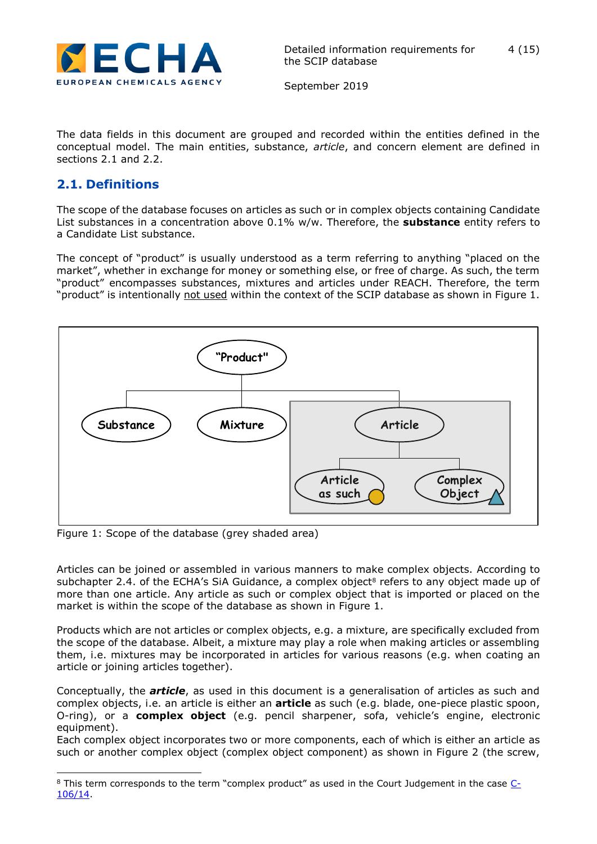

The data fields in this document are grouped and recorded within the entities defined in the conceptual model. The main entities, substance, *article*, and concern element are defined in sections 2.1 and 2.2.

### <span id="page-3-0"></span>**2.1. Definitions**

The scope of the database focuses on articles as such or in complex objects containing Candidate List substances in a concentration above 0.1% w/w. Therefore, the **substance** entity refers to a Candidate List substance.

The concept of "product" is usually understood as a term referring to anything "placed on the market", whether in exchange for money or something else, or free of charge. As such, the term "product" encompasses substances, mixtures and articles under REACH. Therefore, the term "product" is intentionally not used within the context of the SCIP database as shown in Figure 1.



Figure 1: Scope of the database (grey shaded area)

Articles can be joined or assembled in various manners to make complex objects. According to subchapter 2.4. of the ECHA's SiA Guidance, a complex object<sup>8</sup> refers to any object made up of more than one article. Any article as such or complex object that is imported or placed on the market is within the scope of the database as shown in Figure 1.

Products which are not articles or complex objects, e.g. a mixture, are specifically excluded from the scope of the database. Albeit, a mixture may play a role when making articles or assembling them, i.e. mixtures may be incorporated in articles for various reasons (e.g. when coating an article or joining articles together).

Conceptually, the *article*, as used in this document is a generalisation of articles as such and complex objects, i.e. an article is either an **article** as such (e.g. blade, one-piece plastic spoon, O-ring), or a **complex object** (e.g. pencil sharpener, sofa, vehicle's engine, electronic equipment).

Each complex object incorporates two or more components, each of which is either an article as such or another complex object (complex object component) as shown in Figure 2 (the screw,

<sup>-</sup> $8$  This term corresponds to the term "complex product" as used in the Court Judgement in the case  $C_2$ [106/14.](http://curia.europa.eu/juris/liste.jsf?language=en&td=ALL&num=C-106/14)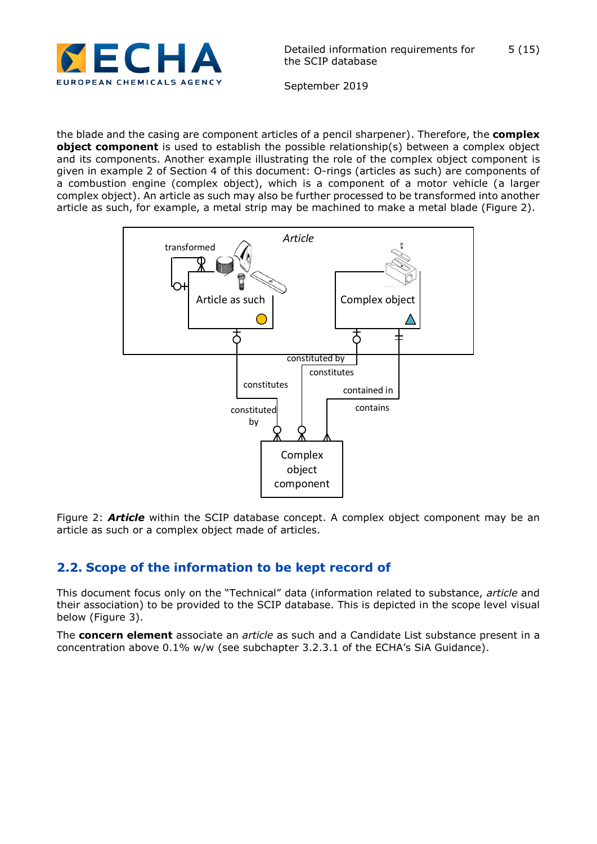

September 2019

the blade and the casing are component articles of a pencil sharpener). Therefore, the **complex object component** is used to establish the possible relationship(s) between a complex object and its components. Another example illustrating the role of the complex object component is given in example 2 of Section 4 of this document: O-rings (articles as such) are components of a combustion engine (complex object), which is a component of a motor vehicle (a larger complex object). An article as such may also be further processed to be transformed into another article as such, for example, a metal strip may be machined to make a metal blade (Figure 2).



Figure 2: *Article* within the SCIP database concept. A complex object component may be an article as such or a complex object made of articles.

## <span id="page-4-0"></span>**2.2. Scope of the information to be kept record of**

This document focus only on the "Technical" data (information related to substance, *article* and their association) to be provided to the SCIP database. This is depicted in the scope level visual below (Figure 3).

The **concern element** associate an *article* as such and a Candidate List substance present in a concentration above 0.1% w/w (see subchapter 3.2.3.1 of the ECHA's SiA Guidance).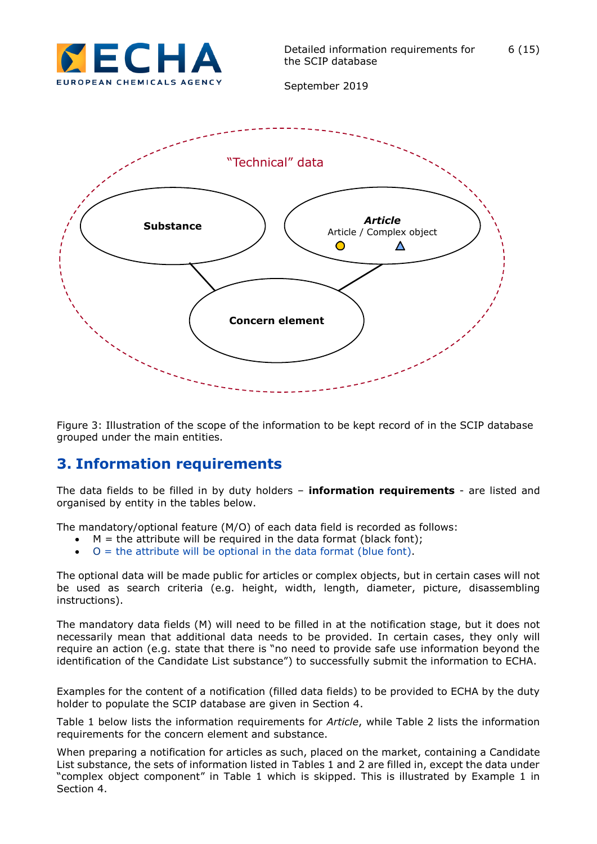



Figure 3: Illustration of the scope of the information to be kept record of in the SCIP database grouped under the main entities.

## <span id="page-5-0"></span>**3. Information requirements**

The data fields to be filled in by duty holders – **information requirements** - are listed and organised by entity in the tables below.

The mandatory/optional feature (M/O) of each data field is recorded as follows:

- $M =$  the attribute will be required in the data format (black font);
- $\bullet$  O = the attribute will be optional in the data format (blue font).

The optional data will be made public for articles or complex objects, but in certain cases will not be used as search criteria (e.g. height, width, length, diameter, picture, disassembling instructions).

The mandatory data fields (M) will need to be filled in at the notification stage, but it does not necessarily mean that additional data needs to be provided. In certain cases, they only will require an action (e.g. state that there is "no need to provide safe use information beyond the identification of the Candidate List substance") to successfully submit the information to ECHA.

Examples for the content of a notification (filled data fields) to be provided to ECHA by the duty holder to populate the SCIP database are given in Section 4.

Table 1 below lists the information requirements for *Article*, while Table 2 lists the information requirements for the concern element and substance.

When preparing a notification for articles as such, placed on the market, containing a Candidate List substance, the sets of information listed in Tables 1 and 2 are filled in, except the data under "complex object component" in Table 1 which is skipped. This is illustrated by Example 1 in Section 4.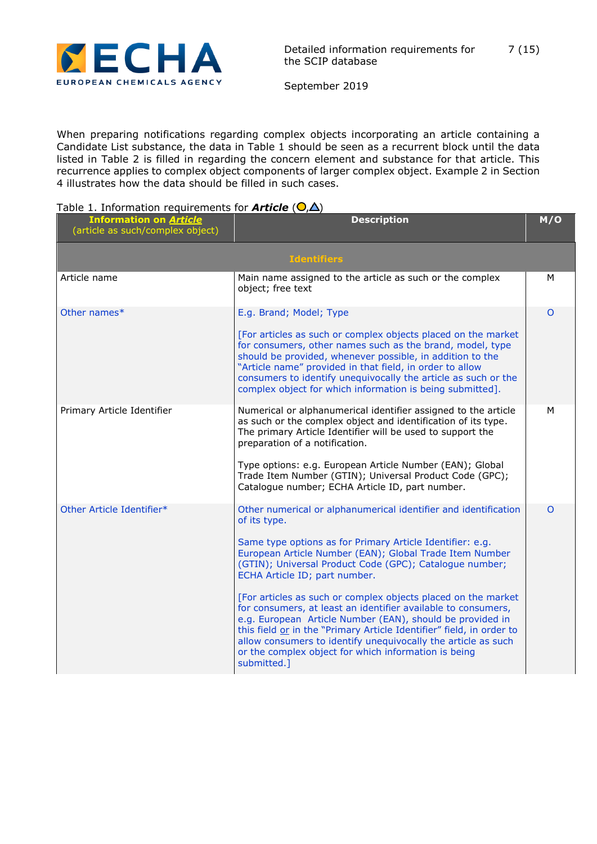

September 2019

When preparing notifications regarding complex objects incorporating an article containing a Candidate List substance, the data in Table 1 should be seen as a recurrent block until the data listed in Table 2 is filled in regarding the concern element and substance for that article. This recurrence applies to complex object components of larger complex object. Example 2 in Section 4 illustrates how the data should be filled in such cases.

#### Table 1. Information requirements for **Article**  $(O,\Delta)$

| <b>Information on Article</b><br>(article as such/complex object) | <b>Description</b>                                                                                                                                                                                                                                                                                                                                                                                                                                                                                                                                                                                                                                                                                                 |          |  |
|-------------------------------------------------------------------|--------------------------------------------------------------------------------------------------------------------------------------------------------------------------------------------------------------------------------------------------------------------------------------------------------------------------------------------------------------------------------------------------------------------------------------------------------------------------------------------------------------------------------------------------------------------------------------------------------------------------------------------------------------------------------------------------------------------|----------|--|
|                                                                   | <b>Identifiers</b>                                                                                                                                                                                                                                                                                                                                                                                                                                                                                                                                                                                                                                                                                                 |          |  |
| Article name                                                      | Main name assigned to the article as such or the complex<br>object; free text                                                                                                                                                                                                                                                                                                                                                                                                                                                                                                                                                                                                                                      | M        |  |
| Other names*                                                      | E.g. Brand; Model; Type<br>[For articles as such or complex objects placed on the market<br>for consumers, other names such as the brand, model, type<br>should be provided, whenever possible, in addition to the<br>"Article name" provided in that field, in order to allow<br>consumers to identify unequivocally the article as such or the<br>complex object for which information is being submitted].                                                                                                                                                                                                                                                                                                      | O        |  |
| Primary Article Identifier                                        | Numerical or alphanumerical identifier assigned to the article<br>as such or the complex object and identification of its type.<br>The primary Article Identifier will be used to support the<br>preparation of a notification.<br>Type options: e.g. European Article Number (EAN); Global<br>Trade Item Number (GTIN); Universal Product Code (GPC);<br>Catalogue number; ECHA Article ID, part number.                                                                                                                                                                                                                                                                                                          | м        |  |
| Other Article Identifier*                                         | Other numerical or alphanumerical identifier and identification<br>of its type.<br>Same type options as for Primary Article Identifier: e.g.<br>European Article Number (EAN); Global Trade Item Number<br>(GTIN); Universal Product Code (GPC); Catalogue number;<br>ECHA Article ID; part number.<br>[For articles as such or complex objects placed on the market<br>for consumers, at least an identifier available to consumers,<br>e.g. European Article Number (EAN), should be provided in<br>this field or in the "Primary Article Identifier" field, in order to<br>allow consumers to identify unequivocally the article as such<br>or the complex object for which information is being<br>submitted.] | $\Omega$ |  |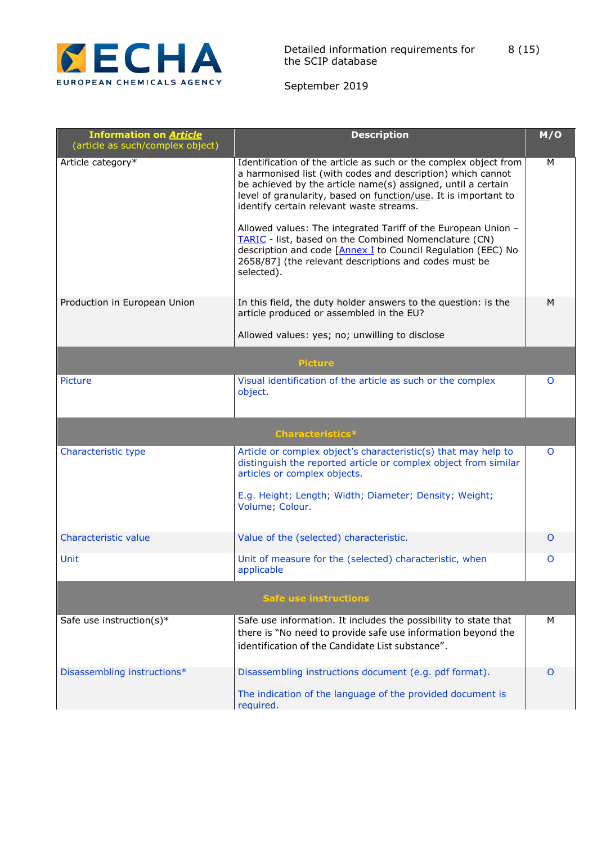

| <b>Information on Article</b><br>(article as such/complex object) | <b>Description</b>                                                                                                                                                                                                                                                                                                                                                                                                                                                                                                                                                              | M/O      |
|-------------------------------------------------------------------|---------------------------------------------------------------------------------------------------------------------------------------------------------------------------------------------------------------------------------------------------------------------------------------------------------------------------------------------------------------------------------------------------------------------------------------------------------------------------------------------------------------------------------------------------------------------------------|----------|
| Article category*                                                 | Identification of the article as such or the complex object from<br>a harmonised list (with codes and description) which cannot<br>be achieved by the article name(s) assigned, until a certain<br>level of granularity, based on function/use. It is important to<br>identify certain relevant waste streams.<br>Allowed values: The integrated Tariff of the European Union -<br>TARIC - list, based on the Combined Nomenclature (CN)<br>description and code [Annex I to Council Regulation (EEC) No<br>2658/87] (the relevant descriptions and codes must be<br>selected). | M        |
| Production in European Union                                      | In this field, the duty holder answers to the question: is the<br>article produced or assembled in the EU?                                                                                                                                                                                                                                                                                                                                                                                                                                                                      | M        |
|                                                                   | Allowed values: yes; no; unwilling to disclose                                                                                                                                                                                                                                                                                                                                                                                                                                                                                                                                  |          |
|                                                                   | <b>Picture</b>                                                                                                                                                                                                                                                                                                                                                                                                                                                                                                                                                                  |          |
| Picture                                                           | Visual identification of the article as such or the complex<br>object.                                                                                                                                                                                                                                                                                                                                                                                                                                                                                                          | O        |
|                                                                   | <b>Characteristics*</b>                                                                                                                                                                                                                                                                                                                                                                                                                                                                                                                                                         |          |
| Characteristic type                                               | Article or complex object's characteristic(s) that may help to<br>distinguish the reported article or complex object from similar<br>articles or complex objects.<br>E.g. Height; Length; Width; Diameter; Density; Weight;<br>Volume; Colour.                                                                                                                                                                                                                                                                                                                                  | $\Omega$ |
| Characteristic value                                              | Value of the (selected) characteristic.                                                                                                                                                                                                                                                                                                                                                                                                                                                                                                                                         | 0        |
| Unit                                                              | Unit of measure for the (selected) characteristic, when<br>applicable                                                                                                                                                                                                                                                                                                                                                                                                                                                                                                           | O        |
|                                                                   | <b>Safe use instructions</b>                                                                                                                                                                                                                                                                                                                                                                                                                                                                                                                                                    |          |
| Safe use instruction(s)*                                          | Safe use information. It includes the possibility to state that<br>there is "No need to provide safe use information beyond the<br>identification of the Candidate List substance".                                                                                                                                                                                                                                                                                                                                                                                             | м        |
| Disassembling instructions*                                       | Disassembling instructions document (e.g. pdf format).<br>The indication of the language of the provided document is<br>required.                                                                                                                                                                                                                                                                                                                                                                                                                                               | O        |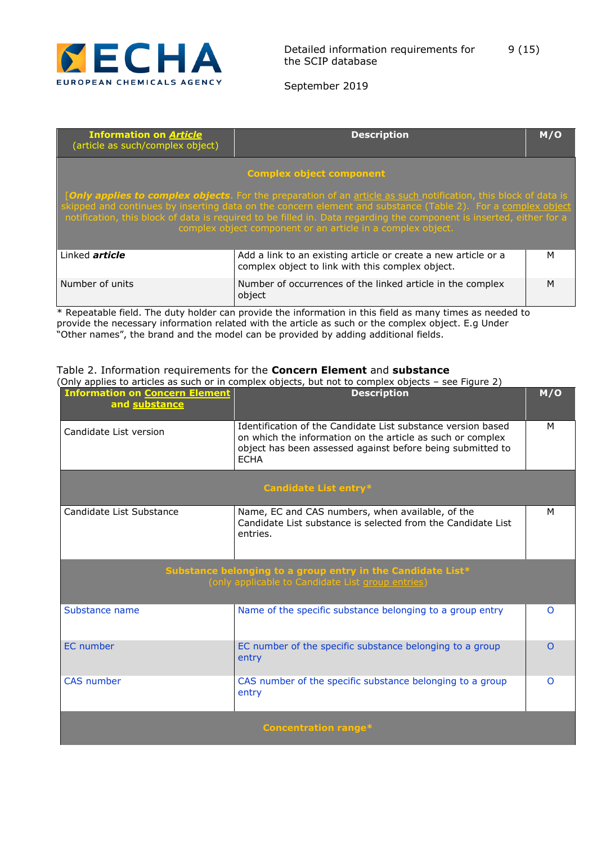

September 2019

| <b>Information on Article</b><br>(article as such/complex object) | <b>Description</b>                                                                                                                                                                                                                                                                                                                                                                                                     |   |  |  |  |  |  |
|-------------------------------------------------------------------|------------------------------------------------------------------------------------------------------------------------------------------------------------------------------------------------------------------------------------------------------------------------------------------------------------------------------------------------------------------------------------------------------------------------|---|--|--|--|--|--|
| <b>Complex object component</b>                                   |                                                                                                                                                                                                                                                                                                                                                                                                                        |   |  |  |  |  |  |
|                                                                   | [Only applies to complex objects. For the preparation of an article as such notification, this block of data is<br>skipped and continues by inserting data on the concern element and substance (Table 2). For a complex object<br>notification, this block of data is required to be filled in. Data regarding the component is inserted, either for a<br>complex object component or an article in a complex object. |   |  |  |  |  |  |
| Linked <i>article</i>                                             | Add a link to an existing article or create a new article or a<br>м<br>complex object to link with this complex object.                                                                                                                                                                                                                                                                                                |   |  |  |  |  |  |
| Number of units                                                   | Number of occurrences of the linked article in the complex<br>object                                                                                                                                                                                                                                                                                                                                                   | M |  |  |  |  |  |

\* Repeatable field. The duty holder can provide the information in this field as many times as needed to provide the necessary information related with the article as such or the complex object. E.g Under "Other names", the brand and the model can be provided by adding additional fields.

|                                                        | (Only applies to articles as such or in complex objects, but not to complex objects – see Figure 2)                                                                                                     |          |
|--------------------------------------------------------|---------------------------------------------------------------------------------------------------------------------------------------------------------------------------------------------------------|----------|
| <b>Information on Concern Element</b><br>and substance | <b>Description</b>                                                                                                                                                                                      | M/O      |
| Candidate List version                                 | Identification of the Candidate List substance version based<br>on which the information on the article as such or complex<br>object has been assessed against before being submitted to<br><b>ECHA</b> | M        |
|                                                        | Candidate List entry*                                                                                                                                                                                   |          |
| Candidate List Substance                               | Name, EC and CAS numbers, when available, of the<br>Candidate List substance is selected from the Candidate List<br>entries.                                                                            | м        |
|                                                        | Substance belonging to a group entry in the Candidate List*<br>(only applicable to Candidate List group entries)                                                                                        |          |
| Substance name                                         | Name of the specific substance belonging to a group entry                                                                                                                                               | $\Omega$ |
| <b>EC</b> number                                       | EC number of the specific substance belonging to a group<br>entry                                                                                                                                       | $\Omega$ |
| <b>CAS</b> number                                      | CAS number of the specific substance belonging to a group<br>entry                                                                                                                                      | $\Omega$ |
|                                                        | <b>Concentration range*</b>                                                                                                                                                                             |          |

#### Table 2. Information requirements for the **Concern Element** and **substance**

(Only applies to articles as such or in complex objects, but not to complex objects – see Figure 2)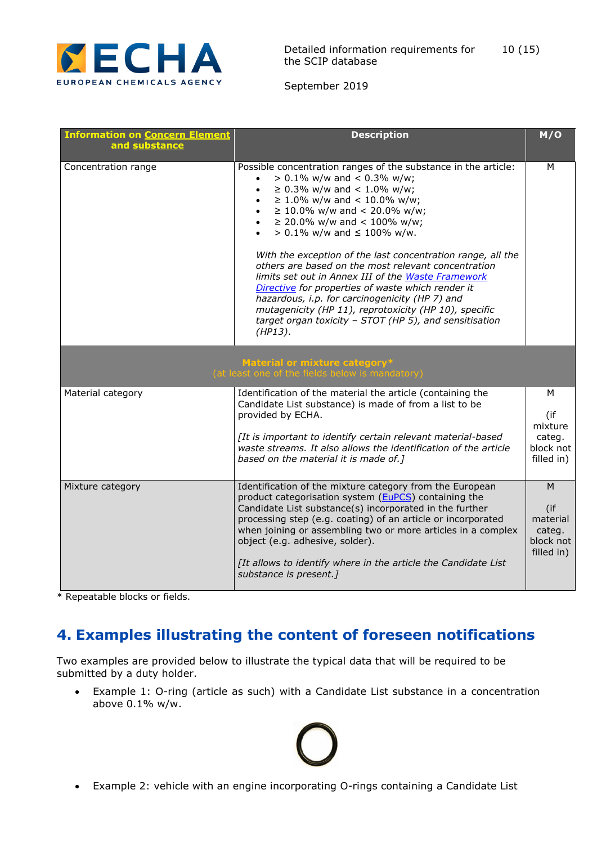

September 2019

| <b>Information on Concern Element</b><br>and substance | <b>Description</b>                                                                                                                                                                                                                                                                                                                                                                                                                                                                                                                                                                                                                                                                                                                          | M/O                                                       |
|--------------------------------------------------------|---------------------------------------------------------------------------------------------------------------------------------------------------------------------------------------------------------------------------------------------------------------------------------------------------------------------------------------------------------------------------------------------------------------------------------------------------------------------------------------------------------------------------------------------------------------------------------------------------------------------------------------------------------------------------------------------------------------------------------------------|-----------------------------------------------------------|
| Concentration range                                    | Possible concentration ranges of the substance in the article:<br>$> 0.1\%$ w/w and < 0.3% w/w;<br>≥ 0.3% w/w and < 1.0% w/w;<br>$\bullet$<br>$\geq$ 1.0% w/w and < 10.0% w/w;<br>$\bullet$<br>$\geq$ 10.0% w/w and < 20.0% w/w;<br>$\bullet$<br>• $\geq$ 20.0% w/w and < 100% w/w;<br>$> 0.1\%$ w/w and $\leq 100\%$ w/w.<br>With the exception of the last concentration range, all the<br>others are based on the most relevant concentration<br>limits set out in Annex III of the Waste Framework<br>Directive for properties of waste which render it<br>hazardous, i.p. for carcinogenicity (HP 7) and<br>mutagenicity (HP 11), reprotoxicity (HP 10), specific<br>target organ toxicity - STOT (HP 5), and sensitisation<br>(HP13). |                                                           |
|                                                        | Material or mixture category*<br>(at least one of the fields below is mandatory)                                                                                                                                                                                                                                                                                                                                                                                                                                                                                                                                                                                                                                                            |                                                           |
| Material category                                      | Identification of the material the article (containing the<br>Candidate List substance) is made of from a list to be<br>provided by ECHA.<br>[It is important to identify certain relevant material-based<br>waste streams. It also allows the identification of the article<br>based on the material it is made of.]                                                                                                                                                                                                                                                                                                                                                                                                                       | м<br>(if<br>mixture<br>categ.<br>block not<br>filled in)  |
| Mixture category                                       | Identification of the mixture category from the European<br>product categorisation system (EuPCS) containing the<br>Candidate List substance(s) incorporated in the further<br>processing step (e.g. coating) of an article or incorporated<br>when joining or assembling two or more articles in a complex<br>object (e.g. adhesive, solder).<br>[It allows to identify where in the article the Candidate List<br>substance is present.]                                                                                                                                                                                                                                                                                                  | M<br>(i)<br>material<br>categ.<br>block not<br>filled in) |

\* Repeatable blocks or fields.

## <span id="page-9-0"></span>**4. Examples illustrating the content of foreseen notifications**

Two examples are provided below to illustrate the typical data that will be required to be submitted by a duty holder.

 Example 1: O-ring (article as such) with a Candidate List substance in a concentration above 0.1% w/w.

Example 2: vehicle with an engine incorporating O-rings containing a Candidate List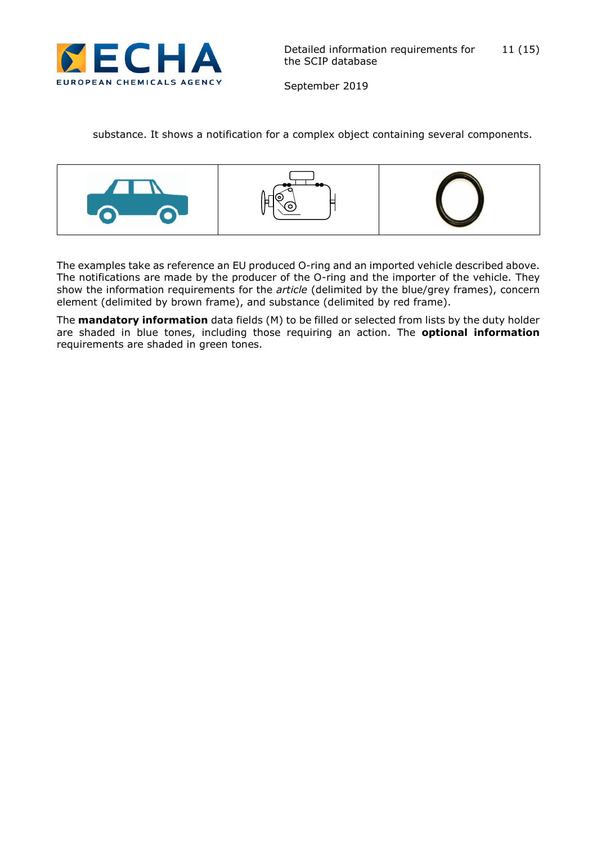

substance. It shows a notification for a complex object containing several components.



The examples take as reference an EU produced O-ring and an imported vehicle described above. The notifications are made by the producer of the O-ring and the importer of the vehicle. They show the information requirements for the *article* (delimited by the blue/grey frames), concern element (delimited by brown frame), and substance (delimited by red frame).

The **mandatory information** data fields (M) to be filled or selected from lists by the duty holder are shaded in blue tones, including those requiring an action. The **optional information** requirements are shaded in green tones.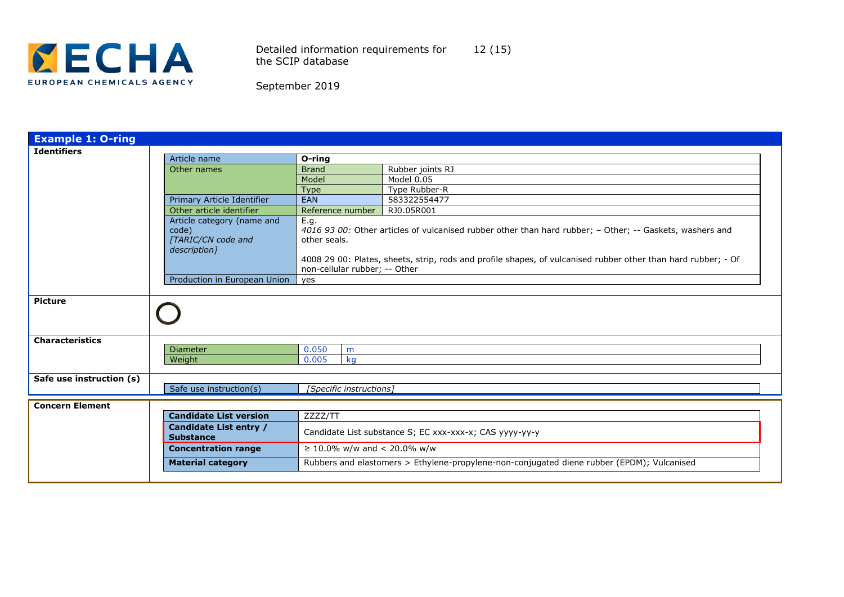

Detailed information requirements for the SCIP database 12 (15)

| September 2019 |  |  |  |  |  |
|----------------|--|--|--|--|--|
|----------------|--|--|--|--|--|

| <b>Example 1: O-ring</b> |                               |                                  |                                                                                                               |  |  |
|--------------------------|-------------------------------|----------------------------------|---------------------------------------------------------------------------------------------------------------|--|--|
| <b>Identifiers</b>       |                               |                                  |                                                                                                               |  |  |
|                          | Article name                  | O-ring                           |                                                                                                               |  |  |
|                          | Other names                   | <b>Brand</b>                     | Rubber joints RJ                                                                                              |  |  |
|                          |                               | Model                            | Model 0.05                                                                                                    |  |  |
|                          |                               | <b>Type</b>                      | Type Rubber-R                                                                                                 |  |  |
|                          | Primary Article Identifier    | EAN                              | 583322554477                                                                                                  |  |  |
|                          | Other article identifier      | Reference number                 | RJ0.05R001                                                                                                    |  |  |
|                          | Article category (name and    | E.q.                             |                                                                                                               |  |  |
|                          | code)                         |                                  | 4016 93 00: Other articles of vulcanised rubber other than hard rubber; - Other; -- Gaskets, washers and      |  |  |
|                          | [TARIC/CN code and            | other seals.                     |                                                                                                               |  |  |
|                          | description]                  |                                  |                                                                                                               |  |  |
|                          |                               |                                  | 4008 29 00: Plates, sheets, strip, rods and profile shapes, of vulcanised rubber other than hard rubber; - Of |  |  |
|                          |                               | non-cellular rubber; -- Other    |                                                                                                               |  |  |
|                          |                               |                                  |                                                                                                               |  |  |
|                          | Production in European Union  | yes                              |                                                                                                               |  |  |
| <b>Picture</b>           |                               |                                  |                                                                                                               |  |  |
|                          |                               |                                  |                                                                                                               |  |  |
| <b>Characteristics</b>   |                               |                                  |                                                                                                               |  |  |
|                          | <b>Diameter</b>               | 0.050<br>m                       |                                                                                                               |  |  |
|                          | Weight                        | 0.005<br>kg                      |                                                                                                               |  |  |
|                          |                               |                                  |                                                                                                               |  |  |
| Safe use instruction (s) |                               |                                  |                                                                                                               |  |  |
|                          | Safe use instruction(s)       | [Specific instructions]          |                                                                                                               |  |  |
|                          |                               |                                  |                                                                                                               |  |  |
| <b>Concern Element</b>   |                               |                                  |                                                                                                               |  |  |
|                          | <b>Candidate List version</b> | ZZZZ/TT                          |                                                                                                               |  |  |
|                          | <b>Candidate List entry /</b> |                                  |                                                                                                               |  |  |
|                          | <b>Substance</b>              |                                  | Candidate List substance S; EC xxx-xxx-x; CAS yyyy-yy-y                                                       |  |  |
|                          | <b>Concentration range</b>    | $\geq$ 10.0% w/w and < 20.0% w/w |                                                                                                               |  |  |
|                          |                               |                                  |                                                                                                               |  |  |
|                          | <b>Material category</b>      |                                  | Rubbers and elastomers > Ethylene-propylene-non-conjugated diene rubber (EPDM); Vulcanised                    |  |  |
|                          |                               |                                  |                                                                                                               |  |  |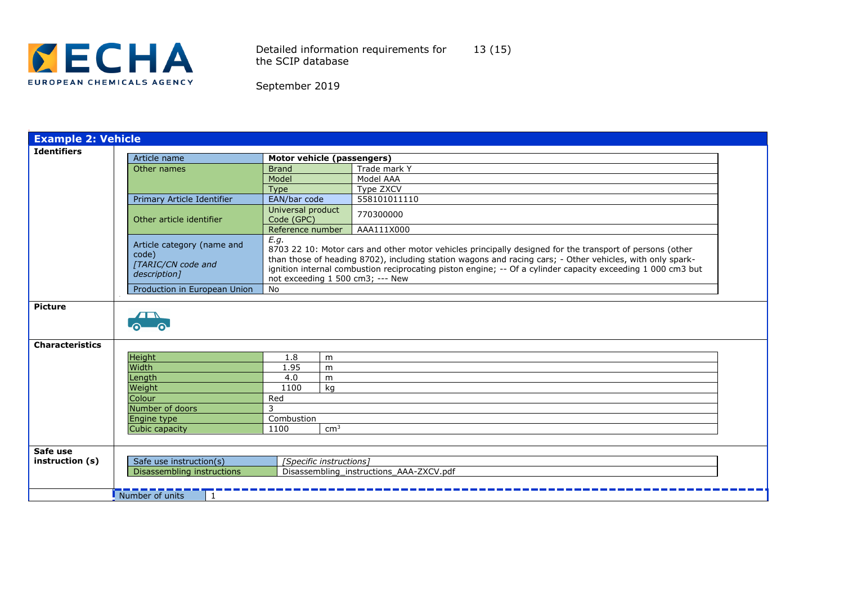

Detailed information requirements for the SCIP database 13 (15)

| <b>Example 2: Vehicle</b>   |                                                                           |                                 |                                                                                                                                                                                                                                                                                                                                                                          |  |  |  |
|-----------------------------|---------------------------------------------------------------------------|---------------------------------|--------------------------------------------------------------------------------------------------------------------------------------------------------------------------------------------------------------------------------------------------------------------------------------------------------------------------------------------------------------------------|--|--|--|
| <b>Identifiers</b>          | Article name                                                              | Motor vehicle (passengers)      |                                                                                                                                                                                                                                                                                                                                                                          |  |  |  |
|                             | Other names                                                               | <b>Brand</b>                    | Trade mark Y                                                                                                                                                                                                                                                                                                                                                             |  |  |  |
|                             |                                                                           | Model                           | Model AAA                                                                                                                                                                                                                                                                                                                                                                |  |  |  |
|                             |                                                                           | Type                            | Type ZXCV                                                                                                                                                                                                                                                                                                                                                                |  |  |  |
|                             | Primary Article Identifier                                                | EAN/bar code                    | 558101011110                                                                                                                                                                                                                                                                                                                                                             |  |  |  |
|                             | Other article identifier                                                  | Universal product<br>Code (GPC) | 770300000                                                                                                                                                                                                                                                                                                                                                                |  |  |  |
|                             |                                                                           | Reference number                | AAA111X000                                                                                                                                                                                                                                                                                                                                                               |  |  |  |
|                             | Article category (name and<br>code)<br>[TARIC/CN code and<br>description] | E.g.                            | 8703 22 10: Motor cars and other motor vehicles principally designed for the transport of persons (other<br>than those of heading 8702), including station wagons and racing cars; - Other vehicles, with only spark-<br>ignition internal combustion reciprocating piston engine; -- Of a cylinder capacity exceeding 1 000 cm3 but<br>not exceeding 1 500 cm3; --- New |  |  |  |
|                             | Production in European Union                                              | No                              |                                                                                                                                                                                                                                                                                                                                                                          |  |  |  |
| <b>Characteristics</b>      |                                                                           |                                 |                                                                                                                                                                                                                                                                                                                                                                          |  |  |  |
|                             |                                                                           |                                 |                                                                                                                                                                                                                                                                                                                                                                          |  |  |  |
|                             | Height<br>Width                                                           | 1.8<br>m<br>1.95                |                                                                                                                                                                                                                                                                                                                                                                          |  |  |  |
|                             | Length                                                                    | m<br>4.0<br>m                   |                                                                                                                                                                                                                                                                                                                                                                          |  |  |  |
|                             |                                                                           | 1100                            |                                                                                                                                                                                                                                                                                                                                                                          |  |  |  |
|                             | Weight<br>Colour                                                          | kg<br>Red                       |                                                                                                                                                                                                                                                                                                                                                                          |  |  |  |
|                             | Number of doors                                                           | 3                               |                                                                                                                                                                                                                                                                                                                                                                          |  |  |  |
|                             | Engine type                                                               | Combustion                      |                                                                                                                                                                                                                                                                                                                                                                          |  |  |  |
|                             | Cubic capacity                                                            | $\text{cm}^3$<br>1100           |                                                                                                                                                                                                                                                                                                                                                                          |  |  |  |
|                             |                                                                           |                                 |                                                                                                                                                                                                                                                                                                                                                                          |  |  |  |
| Safe use<br>instruction (s) | Safe use instruction(s)<br>Disassembling instructions                     | [Specific instructions]         | Disassembling_instructions_AAA-ZXCV.pdf                                                                                                                                                                                                                                                                                                                                  |  |  |  |
|                             | Number of units                                                           |                                 |                                                                                                                                                                                                                                                                                                                                                                          |  |  |  |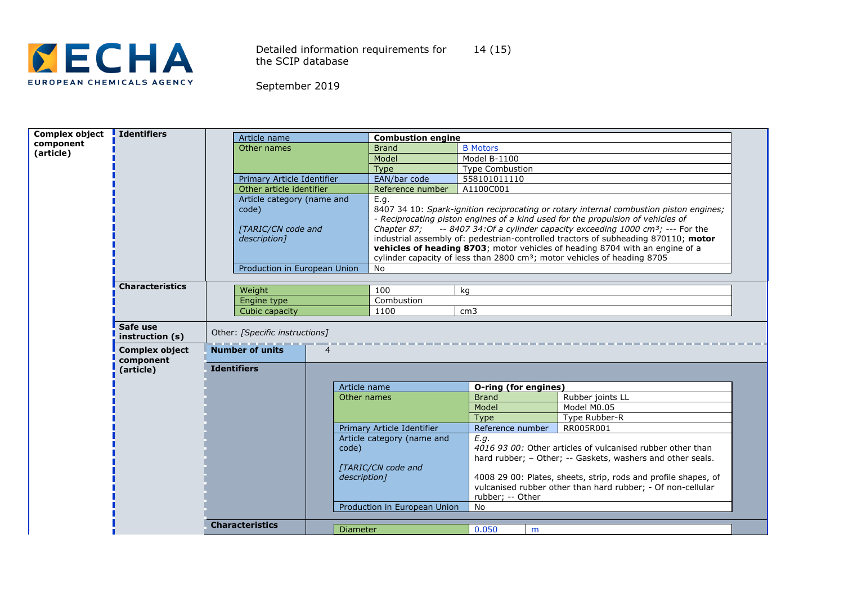

Detailed information requirements for the SCIP database 14 (15)

| Complex object | I Identifiers                      | Article name                   |                | <b>Combustion engine</b>                                                                         |                        |                                                                                        |  |
|----------------|------------------------------------|--------------------------------|----------------|--------------------------------------------------------------------------------------------------|------------------------|----------------------------------------------------------------------------------------|--|
| component      |                                    | Other names                    |                | <b>Brand</b>                                                                                     | <b>B</b> Motors        |                                                                                        |  |
| (article)      |                                    |                                | Model          |                                                                                                  | Model B-1100           |                                                                                        |  |
|                |                                    |                                | <b>Type</b>    |                                                                                                  | <b>Type Combustion</b> |                                                                                        |  |
|                |                                    | Primary Article Identifier     |                | EAN/bar code                                                                                     | 558101011110           |                                                                                        |  |
|                |                                    | Other article identifier       |                | Reference number                                                                                 | A1100C001              |                                                                                        |  |
|                |                                    | Article category (name and     |                | E.g.                                                                                             |                        |                                                                                        |  |
|                |                                    | code)                          |                |                                                                                                  |                        | 8407 34 10: Spark-ignition reciprocating or rotary internal combustion piston engines; |  |
|                |                                    |                                |                | - Reciprocating piston engines of a kind used for the propulsion of vehicles of                  |                        |                                                                                        |  |
|                |                                    | [TARIC/CN code and             |                | $-8407$ 34:0f a cylinder capacity exceeding 1000 cm <sup>3</sup> ; $-$ -- For the<br>Chapter 87: |                        |                                                                                        |  |
|                |                                    | description]                   |                |                                                                                                  |                        | industrial assembly of: pedestrian-controlled tractors of subheading 870110; motor     |  |
|                |                                    |                                |                |                                                                                                  |                        | vehicles of heading 8703; motor vehicles of heading 8704 with an engine of a           |  |
|                |                                    |                                |                |                                                                                                  |                        | cylinder capacity of less than 2800 cm <sup>3</sup> ; motor vehicles of heading 8705   |  |
|                |                                    | Production in European Union   |                | No                                                                                               |                        |                                                                                        |  |
|                | <b>Characteristics</b>             |                                |                |                                                                                                  |                        |                                                                                        |  |
|                |                                    | Weight                         |                | 100                                                                                              | kg                     |                                                                                        |  |
|                |                                    | Engine type                    |                | Combustion                                                                                       |                        |                                                                                        |  |
|                |                                    | Cubic capacity                 |                | 1100                                                                                             | cm <sub>3</sub>        |                                                                                        |  |
|                | Safe use<br>instruction (s)        | Other: [Specific instructions] |                |                                                                                                  |                        |                                                                                        |  |
|                | <b>Complex object</b><br>component | <b>Number of units</b>         | $\overline{4}$ |                                                                                                  |                        |                                                                                        |  |
|                | (article)                          | <b>Identifiers</b>             |                |                                                                                                  |                        |                                                                                        |  |
|                |                                    |                                | Article name   |                                                                                                  | O-ring (for engines)   |                                                                                        |  |
|                |                                    |                                | Other names    |                                                                                                  | <b>Brand</b>           | Rubber joints LL                                                                       |  |
|                |                                    |                                |                |                                                                                                  | Model                  | Model M0.05                                                                            |  |
|                |                                    |                                |                |                                                                                                  | <b>Type</b>            | Type Rubber-R                                                                          |  |
|                |                                    |                                |                | Primary Article Identifier                                                                       | Reference number       | RR005R001                                                                              |  |
|                |                                    |                                |                | Article category (name and                                                                       | E.q.                   |                                                                                        |  |
|                | code)                              |                                |                |                                                                                                  |                        | 4016 93 00: Other articles of vulcanised rubber other than                             |  |
|                |                                    |                                |                | [TARIC/CN code and                                                                               |                        | hard rubber; - Other; -- Gaskets, washers and other seals.                             |  |
|                |                                    |                                | description]   |                                                                                                  |                        | 4008 29 00: Plates, sheets, strip, rods and profile shapes, of                         |  |
|                |                                    |                                |                |                                                                                                  |                        | vulcanised rubber other than hard rubber; - Of non-cellular                            |  |
|                |                                    |                                |                |                                                                                                  | rubber; -- Other       |                                                                                        |  |
|                |                                    |                                |                | Production in European Union                                                                     | No                     |                                                                                        |  |
|                |                                    |                                |                |                                                                                                  |                        |                                                                                        |  |
|                |                                    | <b>Characteristics</b>         | Diameter       |                                                                                                  | 0.050                  | m                                                                                      |  |